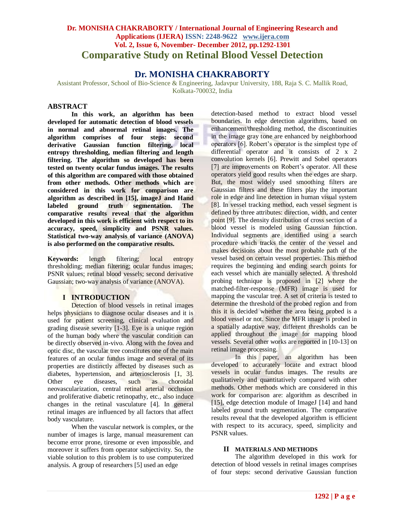# **Dr. MONISHA CHAKRABORTY / International Journal of Engineering Research and Applications (IJERA) ISSN: 2248-9622 www.ijera.com Vol. 2, Issue 6, November- December 2012, pp.1292-1301 Comparative Study on Retinal Blood Vessel Detection**

# **Dr. MONISHA CHAKRABORTY**

Assistant Professor, School of Bio-Science & Engineering, Jadavpur University, 188, Raja S. C. Mallik Road, Kolkata-700032, India

## **ABSTRACT**

**In this work, an algorithm has been developed for automatic detection of blood vessels in normal and abnormal retinal images. The algorithm comprises of four steps: second derivative Gaussian function filtering, local entropy thresholding, median filtering and length filtering. The algorithm so developed has been tested on twenty ocular fundus images. The results of this algorithm are compared with those obtained from other methods. Other methods which are considered in this work for comparison are algorithm as described in [15], imageJ and Hand labeled ground truth segmentation. The comparative results reveal that the algorithm developed in this work is efficient with respect to its accuracy, speed, simplicity and PSNR values. Statistical two-way analysis of variance (ANOVA) is also performed on the comparative results.** 

**Keywords:** length filtering; local entropy thresholding; median filtering; ocular fundus images; PSNR values; retinal blood vessels; second derivative Gaussian; two-way analysis of variance (ANOVA).

# **I INTRODUCTION**

Detection of blood vessels in retinal images helps physicians to diagnose ocular diseases and it is used for patient screening, clinical evaluation and grading disease severity [1-3]. Eye is a unique region of the human body where the vascular condition can be directly observed in-vivo. Along with the fovea and optic disc, the vascular tree constitutes one of the main features of an ocular fundus image and several of its properties are distinctly affected by diseases such as diabetes, hypertension, and arteriosclerosis [1, 3]. Other eye diseases, such as choroidal neovascularization, central retinal arterial occlusion and proliferative diabetic retinopathy, etc., also induce changes in the retinal vasculature [4]. In general retinal images are influenced by all factors that affect body vasculature.

When the vascular network is complex, or the number of images is large, manual measurement can become error prone, tiresome or even impossible, and moreover it suffers from operator subjectivity. So, the viable solution to this problem is to use computerized analysis. A group of researchers [5] used an edge

detection-based method to extract blood vessel boundaries. In edge detection algorithms, based on enhancement/thresholding method, the discontinuities in the image gray tone are enhanced by neighborhood operators [6]. Robert"s operator is the simplest type of differential operator and it consists of 2 x 2 convolution kernels [6]. Prewitt and Sobel operators [7] are improvements on Robert's operator. All these operators yield good results when the edges are sharp. But, the most widely used smoothing filters are Gaussian filters and these filters play the important role in edge and line detection in human visual system [8]. In vessel tracking method, each vessel segment is defined by three attributes: direction, width, and center point [9]. The density distribution of cross section of a blood vessel is modeled using Gaussian function. Individual segments are identified using a search procedure which tracks the center of the vessel and makes decisions about the most probable path of the vessel based on certain vessel properties. This method requires the beginning and ending search points for each vessel which are manually selected. A threshold probing technique is proposed in [2] where the matched-filter-response (MFR) image is used for mapping the vascular tree. A set of criteria is tested to determine the threshold of the probed region and from this it is decided whether the area being probed is a blood vessel or not. Since the MFR image is probed in a spatially adaptive way, different thresholds can be applied throughout the image for mapping blood vessels. Several other works are reported in [10-13] on retinal image processing.

In this paper, an algorithm has been developed to accurately locate and extract blood vessels in ocular fundus images. The results are qualitatively and quantitatively compared with other methods. Other methods which are considered in this work for comparison are: algorithm as described in [15], edge detection module of ImageJ [14] and hand labeled ground truth segmentation. The comparative results reveal that the developed algorithm is efficient with respect to its accuracy, speed, simplicity and PSNR values.

#### **II MATERIALS AND METHODS**

The algorithm developed in this work for detection of blood vessels in retinal images comprises of four steps: second derivative Gaussian function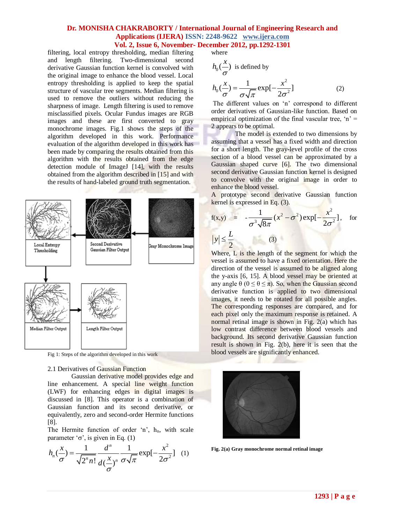filtering, local entropy thresholding, median filtering and length filtering. Two-dimensional second derivative Gaussian function kernel is convolved with the original image to enhance the blood vessel. Local entropy thresholding is applied to keep the spatial structure of vascular tree segments. Median filtering is used to remove the outliers without reducing the sharpness of image. Length filtering is used to remove misclassified pixels. Ocular Fundus images are RGB images and these are first converted to gray monochrome images. Fig.1 shows the steps of the algorithm developed in this work. Performance evaluation of the algorithm developed in this work has been made by comparing the results obtained from this algorithm with the results obtained from the edge detection module of ImageJ [14], with the results obtained from the algorithm described in [15] and with the results of hand-labeled ground truth segmentation.



Fig 1: Steps of the algorithm developed in this work

#### 2.1 Derivatives of Gaussian Function

Gaussian derivative model provides edge and line enhancement. A special line weight function (LWF) for enhancing edges in digital images is discussed in [8]. This operator is a combination of Gaussian function and its second derivative, or equivalently, zero and second-order Hermite functions [8].

The Hermite function of order 'n',  $h_n$ , with scale

parameter 'σ', is given in Eq. (1)  
\n
$$
h_n(\frac{x}{\sigma}) = \frac{1}{\sqrt{2^n n!}} \frac{d^n}{d(\frac{x}{\sigma})^n} \frac{1}{\sigma \sqrt{\pi}} \exp[-\frac{x^2}{2\sigma^2}] \quad (1)
$$

where

$$
h_0(\frac{x}{\sigma}) \text{ is defined by}
$$
  

$$
h_0(\frac{x}{\sigma}) = \frac{1}{\sigma\sqrt{\pi}} \exp[-\frac{x^2}{2\sigma^2}]
$$
 (2)

The different values on 'n' correspond to different order derivatives of Gaussian-like function. Based on empirical optimization of the final vascular tree,  $n' =$ 2 appears to be optimal.

The model is extended to two dimensions by assuming that a vessel has a fixed width and direction for a short length. The gray-level profile of the cross section of a blood vessel can be approximated by a Gaussian shaped curve [6]. The two dimensional second derivative Gaussian function kernel is designed to convolve with the original image in order to enhance the blood vessel.

A prototype second derivative Gaussian function kernel is expressed in Eq. (3).

$$
f(x,y) = -\frac{1}{\sigma^3 \sqrt{8\pi}} (x^2 - \sigma^2) \exp[-\frac{x^2}{2\sigma^2}], \text{ for }
$$
  

$$
|y| \le \frac{L}{2}
$$
 (3)

Where, L is the length of the segment for which the vessel is assumed to have a fixed orientation. Here the direction of the vessel is assumed to be aligned along the y-axis [6, 15]. A blood vessel may be oriented at any angle  $\theta$  ( $0 \le \theta \le \pi$ ). So, when the Gaussian second derivative function is applied to two dimensional images, it needs to be rotated for all possible angles. The corresponding responses are compared, and for each pixel only the maximum response is retained. A normal retinal image is shown in Fig. 2(a) which has low contrast difference between blood vessels and background. Its second derivative Gaussian function result is shown in Fig. 2(b), here it is seen that the blood vessels are significantly enhanced.



**Fig. 2(a) Gray monochrome normal retinal image**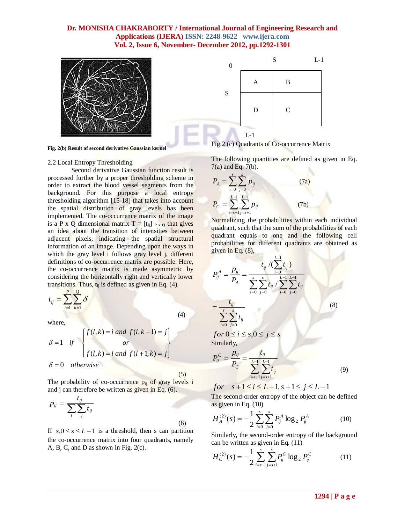



**Fig. 2(b) Result of second derivative Gaussian kernel**

#### 2.2 Local Entropy Thresholding

Second derivative Gaussian function result is processed further by a proper thresholding scheme in order to extract the blood vessel segments from the background. For this purpose a local entropy thresholding algorithm [15-18] that takes into account the spatial distribution of gray levels has been implemented. The co-occurrence matrix of the image is a P x Q dimensional matrix  $T = [t_{ij}]_{P \, x \, Q}$  that gives an idea about the transition of intensities between adjacent pixels, indicating the spatial structural information of an image. Depending upon the ways in which the gray level i follows gray level j, different definitions of co-occurrence matrix are possible. Here, the co-occurrence matrix is made asymmetric by considering the horizontally right and vertically lower transitions. Thus,  $t_{ii}$  is defined as given in Eq. (4).

$$
t_{ij} = \sum_{t=1}^{P} \sum_{k=1}^{Q} \delta
$$

where,

$$
\delta = 1 \quad \text{if} \quad \begin{cases} f(l,k) = i \text{ and } f(l,k+1) = j \\ \text{or} \\ f(l,k) = i \text{ and } f(l+1,k) = j \end{cases}
$$

 $\delta = 0$  otherwise

(5)

(4)

The probability of co-occurrence  $p_{ii}$  of gray levels i and j can therefore be written as given in Eq. (6).

$$
p_{ij} = \frac{t_{ij}}{\sum_{i} \sum_{j} t_{ij}} \tag{6}
$$

If  $s, 0 \le s \le L-1$  is a threshold, then s can partition the co-occurrence matrix into four quadrants, namely A, B, C, and D as shown in Fig. 2(c).

Fig.2 (c) Quadrants of Co-occurrence Matrix

The following quantities are defined as given in Eq. 7(a) and Eq. 7(b).

$$
P_{A} = \sum_{i=0}^{s} \sum_{j=0}^{s} p_{ij}
$$
 (7a)  

$$
P_{C} = \sum_{i=s+1}^{L-1} \sum_{j=s+1}^{L-1} p_{ij}
$$
 (7b)

Normalizing the probabilities within each individual quadrant, such that the sum of the probabilities of each quadrant equals to one and the following cell probabilities for different quadrants are obtained as given in Eq. (8),

$$
P_{ij}^{A} = \frac{p_{ij}}{P_A} = \frac{t_{ij} / (\sum_{i=0}^{L-1} t_{ij})}{\sum_{i=0}^{s} \sum_{j=0}^{s} t_{ij} / \sum_{i=0}^{L-1} \sum_{j=0}^{L-1} t_{ij}}
$$
\n
$$
= \frac{t_{ij}}{\sum_{i=0}^{s} \sum_{j=0}^{s} t_{ij}}
$$
\n
$$
for 0 \le i \le s, 0 \le j \le s
$$
\n(8)

Similarly,

$$
P_{ij}^C = \frac{p_{ij}}{P_C} = \frac{t_{ij}}{\sum_{i=s+1}^{L-1} \sum_{j=s+1}^{L-1} t_{ij}}
$$
(9)

 $for \ s+1 \le i \le L-1, s+1 \le j \le L-1$ 

The second-order entropy of the object can be defined as given in Eq. (10)

$$
H_A^{(2)}(s) = -\frac{1}{2} \sum_{i=0}^s \sum_{j=0}^s P_{ij}^A \log_2 P_{ij}^A \tag{10}
$$

Similarly, the second-order entropy of the background can be written as given in Eq. (11)

$$
H_C^{(2)}(s) = -\frac{1}{2} \sum_{i=s+1}^s \sum_{j=s+1}^s P_{ij}^C \log_2 P_{ij}^C
$$
 (11)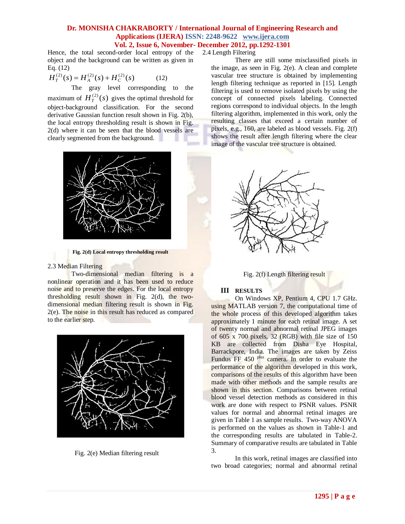Hence, the total second-order local entropy of the 2.4 Length Filtering object and the background can be written as given in Eq. (12)

$$
H_T^{(2)}(s) = H_A^{(2)}(s) + H_C^{(2)}(s)
$$
 (12)

The gray level corresponding to the maximum of  $H_T^{(2)}(s)$  gives the optimal threshold for object-background classification. For the second derivative Gaussian function result shown in Fig. 2(b), the local entropy thresholding result is shown in Fig. 2(d) where it can be seen that the blood vessels are clearly segmented from the background.



**Fig. 2(d) Local entropy thresholding result**

#### 2.3 Median Filtering

Two-dimensional median filtering is a nonlinear operation and it has been used to reduce noise and to preserve the edges. For the local entropy thresholding result shown in Fig. 2(d), the twodimensional median filtering result is shown in Fig. 2(e). The noise in this result has reduced as compared to the earlier step.



Fig. 2(e) Median filtering result

There are still some misclassified pixels in the image, as seen in Fig. 2(e). A clean and complete vascular tree structure is obtained by implementing length filtering technique as reported in [15]. Length filtering is used to remove isolated pixels by using the concept of connected pixels labeling. Connected regions correspond to individual objects. In the length filtering algorithm, implemented in this work, only the resulting classes that exceed a certain number of pixels, e.g., 160, are labeled as blood vessels. Fig. 2(f) shows the result after length filtering where the clear image of the vascular tree structure is obtained.





#### **III RESULTS**

On Windows XP, Pentium 4, CPU 1.7 GHz. using MATLAB version 7, the computational time of the whole process of this developed algorithm takes approximately 1 minute for each retinal image. A set of twenty normal and abnormal retinal JPEG images of 605 x 700 pixels, 32 (RGB) with file size of 150 KB are collected from Disha Eye Hospital, Barrackpore, India. The images are taken by Zeiss Fundus FF 450 <sup>plus</sup> camera. In order to evaluate the performance of the algorithm developed in this work, comparisons of the results of this algorithm have been made with other methods and the sample results are shown in this section. Comparisons between retinal blood vessel detection methods as considered in this work are done with respect to PSNR values. PSNR values for normal and abnormal retinal images are given in Table 1 as sample results. Two-way ANOVA is performed on the values as shown in Table-1 and the corresponding results are tabulated in Table-2. Summary of comparative results are tabulated in Table 3.

In this work, retinal images are classified into two broad categories; normal and abnormal retinal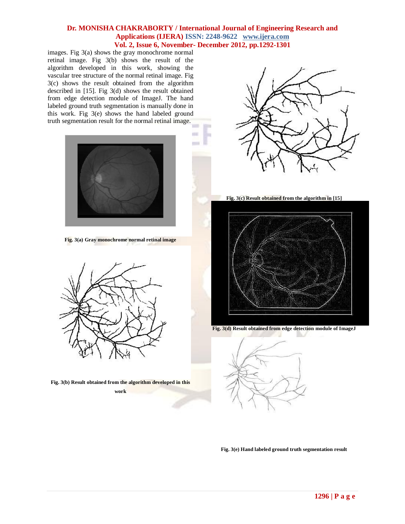images. Fig 3(a) shows the gray monochrome normal retinal image. Fig 3(b) shows the result of the algorithm developed in this work, showing the vascular tree structure of the normal retinal image. Fig 3(c) shows the result obtained from the algorithm described in [15]. Fig 3(d) shows the result obtained from edge detection module of ImageJ. The hand labeled ground truth segmentation is manually done in this work. Fig 3(e) shows the hand labeled ground truth segmentation result for the normal retinal image.



**Fig. 3(a) Gray monochrome normal retinal image**



**Fig. 3(b) Result obtained from the algorithm developed in this** 

**work**



**Fig. 3(c) Result obtained from the algorithm in [15]**







**Fig. 3(e) Hand labeled ground truth segmentation result**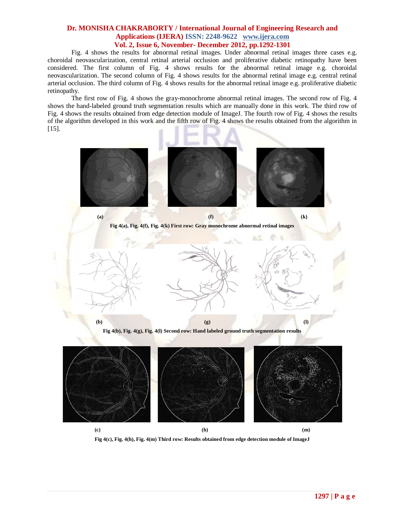Fig. 4 shows the results for abnormal retinal images. Under abnormal retinal images three cases e.g. choroidal neovascularization, central retinal arterial occlusion and proliferative diabetic retinopathy have been considered. The first column of Fig. 4 shows results for the abnormal retinal image e.g. choroidal neovascularization. The second column of Fig. 4 shows results for the abnormal retinal image e.g. central retinal arterial occlusion. The third column of Fig. 4 shows results for the abnormal retinal image e.g. proliferative diabetic retinopathy.

The first row of Fig. 4 shows the gray-monochrome abnormal retinal images. The second row of Fig. 4 shows the hand-labeled ground truth segmentation results which are manually done in this work. The third row of Fig. 4 shows the results obtained from edge detection module of ImageJ. The fourth row of Fig. 4 shows the results of the algorithm developed in this work and the fifth row of Fig. 4 shows the results obtained from the algorithm in  $[15]$ .



**Fig 4(c), Fig. 4(h), Fig. 4(m) Third row: Results obtained from edge detection module of ImageJ**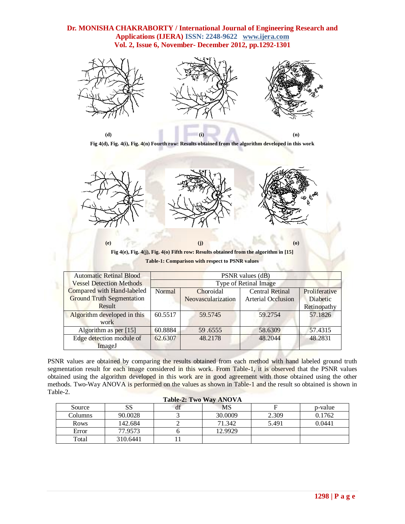

**Fig 4(d), Fig. 4(i), Fig. 4(n) Fourth row: Results obtained from the algorithm developed in this work**



**Fig 4(e), Fig. 4(j), Fig. 4(o) Fifth row: Results obtained from the algorithm in [15] Table-1: Comparison with respect to PSNR values**

| <b>Automatic Retinal Blood</b>   | PSNR values (dB)             |         |                           |               |  |
|----------------------------------|------------------------------|---------|---------------------------|---------------|--|
| <b>Vessel Detection Methods</b>  | <b>Type of Retinal Image</b> |         |                           |               |  |
| Compared with Hand-labeled       | Normal<br>Choroidal          |         | <b>Central Retinal</b>    | Proliferative |  |
| <b>Ground Truth Segmentation</b> | Neovascularization           |         | <b>Arterial Occlusion</b> | Diabetic      |  |
| Result                           |                              |         |                           | Retinopathy   |  |
| Algorithm developed in this      | 60.5517                      | 59.5745 | 59.2754                   | 57.1826       |  |
| work                             |                              |         |                           |               |  |
| Algorithm as per [15]            | 60.8884                      | 59.6555 | 58.6309                   | 57.4315       |  |
| Edge detection module of         | 62.6307                      | 48.2178 | 48.2044                   | 48.2831       |  |
| ImageJ                           |                              |         |                           |               |  |

PSNR values are obtained by comparing the results obtained from each method with hand labeled ground truth segmentation result for each image considered in this work. From Table-1, it is observed that the PSNR values obtained using the algorithm developed in this work are in good agreement with those obtained using the other methods. Two-Way ANOVA is performed on the values as shown in Table-1 and the result so obtained is shown in Table-2.

| <b>Table-2: Two Way ANOVA</b> |          |    |         |       |         |
|-------------------------------|----------|----|---------|-------|---------|
| Source                        | SS       | df | MS      |       | p-value |
| Columns                       | 90.0028  |    | 30.0009 | 2.309 | 0.1762  |
| <b>Rows</b>                   | 142.684  |    | 71.342  | 5.491 | 0.0441  |
| Error                         | 77.9573  |    | 12.9929 |       |         |
| Total                         | 310.6441 |    |         |       |         |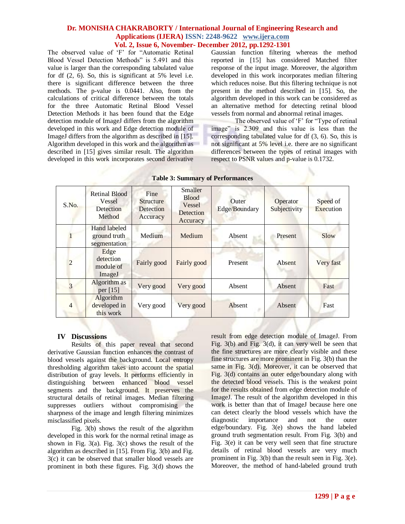The observed value of 'F' for "Automatic Retinal Blood Vessel Detection Methods" is 5.491 and this value is larger than the corresponding tabulated value for df (2, 6). So, this is significant at 5% level i.e. there is significant difference between the three methods. The p-value is 0.0441. Also, from the calculations of critical difference between the totals for the three Automatic Retinal Blood Vessel Detection Methods it has been found that the Edge detection module of ImageJ differs from the algorithm developed in this work and Edge detection module of ImageJ differs from the algorithm as described in [15]. Algorithm developed in this work and the algorithm as described in [15] gives similar result. The algorithm developed in this work incorporates second derivative

Gaussian function filtering whereas the method reported in [15] has considered Matched filter response of the input image. Moreover, the algorithm developed in this work incorporates median filtering which reduces noise. But this filtering technique is not present in the method described in [15]. So, the algorithm developed in this work can be considered as an alternative method for detecting retinal blood vessels from normal and abnormal retinal images.

The observed value of 'F' for "Type of retinal" image" is 2.309 and this value is less than the corresponding tabulated value for df (3, 6). So, this is not significant at 5% level i.e. there are no significant differences between the types of retinal images with respect to PSNR values and p-value is 0.1732.

| S.No.          | <b>Retinal Blood</b><br>Vessel<br>Detection<br>Method | Fine<br><b>Structure</b><br>Detection<br>Accuracy | Smaller<br><b>Blood</b><br>Vessel<br>Detection<br>Accuracy | Outer<br>Edge/Boundary | Operator<br>Subjectivity | Speed of<br>Execution |
|----------------|-------------------------------------------------------|---------------------------------------------------|------------------------------------------------------------|------------------------|--------------------------|-----------------------|
|                | Hand labeled<br>ground truth<br>segmentation          | Medium                                            | Medium                                                     | Absent                 | Present                  | Slow                  |
| $\mathfrak{D}$ | Edge<br>detection<br>module of<br>ImageJ              | Fairly good                                       | Fairly good                                                | Present                | Absent                   | Very fast             |
| 3              | Algorithm as<br>per $[15]$                            | Very good                                         | Very good                                                  | Absent                 | Absent                   | Fast                  |
| $\overline{4}$ | Algorithm<br>developed in<br>this work                | Very good                                         | Very good                                                  | Absent                 | Absent                   | Fast                  |

|  | <b>Table 3: Summary of Performances</b> |
|--|-----------------------------------------|
|  |                                         |

# **IV Discussions**

Results of this paper reveal that second derivative Gaussian function enhances the contrast of blood vessels against the background. Local entropy thresholding algorithm takes into account the spatial distribution of gray levels. It performs efficiently in distinguishing between enhanced blood vessel segments and the background. It preserves the structural details of retinal images. Median filtering suppresses outliers without compromising the sharpness of the image and length filtering minimizes misclassified pixels.

Fig. 3(b) shows the result of the algorithm developed in this work for the normal retinal image as shown in Fig.  $3(a)$ . Fig.  $3(c)$  shows the result of the algorithm as described in [15]. From Fig. 3(b) and Fig. 3(c) it can be observed that smaller blood vessels are prominent in both these figures. Fig. 3(d) shows the

result from edge detection module of ImageJ. From Fig. 3(b) and Fig. 3(d), it can very well be seen that the fine structures are more clearly visible and these fine structures are more prominent in Fig. 3(b) than the same in Fig. 3(d). Moreover, it can be observed that Fig. 3(d) contains an outer edge/boundary along with the detected blood vessels. This is the weakest point for the results obtained from edge detection module of ImageJ. The result of the algorithm developed in this work is better than that of ImageJ because here one can detect clearly the blood vessels which have the diagnostic importance and not the outer diagnostic importance and not the outer edge/boundary. Fig. 3(e) shows the hand labeled ground truth segmentation result. From Fig. 3(b) and Fig. 3(e) it can be very well seen that fine structure details of retinal blood vessels are very much prominent in Fig. 3(b) than the result seen in Fig. 3(e). Moreover, the method of hand-labeled ground truth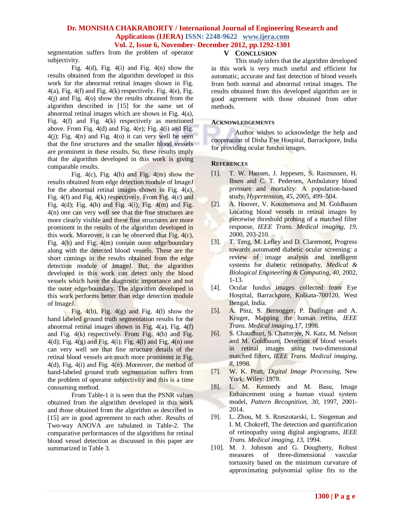segmentation suffers from the problem of operator subjectivity.

Fig. 4(d), Fig. 4(i) and Fig. 4(n) show the results obtained from the algorithm developed in this work for the abnormal retinal images shown in Fig.  $4(a)$ , Fig.  $4(f)$  and Fig.  $4(k)$  respectively. Fig.  $4(e)$ , Fig. 4(j) and Fig. 4(o) show the results obtained from the algorithm described in [15] for the same set of abnormal retinal images which are shown in Fig. 4(a), Fig. 4(f) and Fig. 4(k) respectively as mentioned above. From Fig.  $4(d)$  and Fig.  $4(e)$ ; Fig.  $4(i)$  and Fig.  $4(i)$ ; Fig.  $4(n)$  and Fig.  $4(0)$  it can very well be seen that the fine structures and the smaller blood vessels are prominent in these results. So, these results imply that the algorithm developed in this work is giving comparable results.

Fig. 4(c), Fig. 4(h) and Fig. 4(m) show the results obtained from edge detection module of ImageJ for the abnormal retinal images shown in Fig. 4(a), Fig. 4(f) and Fig. 4(k) respectively. From Fig. 4(c) and Fig.  $4(d)$ ; Fig.  $4(h)$  and Fig.  $4(i)$ ; Fig.  $4(m)$  and Fig. 4(n) one can very well see that the fine structures are more clearly visible and these fine structures are more prominent in the results of the algorithm developed in this work. Moreover, it can be observed that Fig. 4(c), Fig. 4(h) and Fig. 4(m) contain outer edge/boundary along with the detected blood vessels. These are the short comings in the results obtained from the edge detection module of ImageJ. But, the algorithm developed in this work can detect only the blood vessels which have the diagnostic importance and not the outer edge/boundary. The algorithm developed in this work performs better than edge detection module of ImageJ.

Fig.  $4(b)$ , Fig.  $4(g)$  and Fig.  $4(l)$  show the hand labeled ground truth segmentation results for the abnormal retinal images shown in Fig. 4(a), Fig. 4(f) and Fig. 4(k) respectively. From Fig. 4(b) and Fig.  $4(d)$ ; Fig.  $4(g)$  and Fig.  $4(i)$ ; Fig.  $4(l)$  and Fig.  $4(n)$  one can very well see that fine structure details of the retinal blood vessels are much more prominent in Fig. 4(d), Fig. 4(i) and Fig. 4(n). Moreover, the method of hand-labeled ground truth segmentation suffers from the problem of operator subjectivity and this is a time consuming method.

From Table-1 it is seen that the PSNR values obtained from the algorithm developed in this work and those obtained from the algorithm as described in [15] are in good agreement to each other. Results of Two-way ANOVA are tabulated in Table-2. The comparative performances of the algorithms for retinal blood vessel detection as discussed in this paper are summarized in Table 3.

#### **V CONCLUSION**

This study infers that the algorithm developed in this work is very much useful and efficient for automatic, accurate and fast detection of blood vessels from both normal and abnormal retinal images. The results obtained from this developed algorithm are in good agreement with those obtained from other methods.

#### **ACKNOWLEDGEMENTS**

Author wishes to acknowledge the help and cooperation of Disha Eye Hospital, Barrackpore, India for providing ocular fundus images.

#### **REFERENCES**

- [1]. T. W. Hansen, J. Jeppesen, S. Rasmussen, H. Ibsen and C. T. Pedersen, Ambulatory blood pressure and mortality: A population-based study, *Hypertension, 45*, 2005, 499–504.
- [2]. A. Hoover, V. Kouznetsova and M. Goldbaum Locating blood vessels in retinal images by piecewise threshold probing of a matched filter response, *IEEE Trans. Medical imaging, 19*, 2000, 203-210*.*
- [3]. T. Teng, M. Lefley and D. Claremont, Progress towards automated diabetic ocular screening: a review of image analysis and intelligent systems for diabetic retinopathy, *Medical & Biological Engineering & Computing, 40,* 2002, 1-13.
- [4]. Ocular fundus images collected from Eye Hospital, Barrackpore, Kolkata-700120, West Bengal, India.
- [5]. A. Pinz, S. Bernogger, P. Datlinger and A. Kruger, Mapping the human retina, *IEEE Trans. Medical imaging,17,* 1998.
- [6]. S. Chaudhuri, S. Chatterjee, N. Katz, M. Nelson and M. Goldbaum, Detection of blood vessels in retinal images using two-dimensional matched filters, *IEEE Trans. Medical imaging, 8*, 1998.
- [7]. W. K. Pratt, *Digital Image Processing*, New York: Wiley: 1978.
- [8]. L. M. Kennedy and M. Basu, Image Enhancement using a human visual system model, *Pattern Recognition, 30*, 1997, 2001- 2014.
- [9]. L. Zhou, M. S. Rzeszotarski, L. Singeman and I. M. Chokreff, The detection and quantification of retinopathy using digital angiograms, *IEEE Trans. Medical imaging, 13,* 1994.
- [10]. M. J. Johnson and G. Dougherty, Robust measures of three-dimensional vascular tortuosity based on the minimum curvature of approximating polynomial spline fits to the